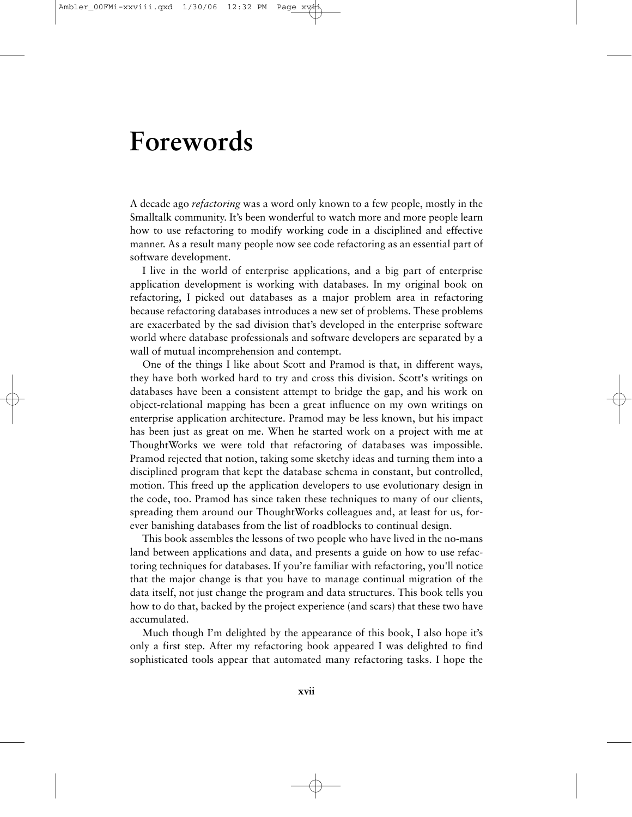## **Forewords**

A decade ago *refactoring* was a word only known to a few people, mostly in the Smalltalk community. It's been wonderful to watch more and more people learn how to use refactoring to modify working code in a disciplined and effective manner. As a result many people now see code refactoring as an essential part of software development.

I live in the world of enterprise applications, and a big part of enterprise application development is working with databases. In my original book on refactoring, I picked out databases as a major problem area in refactoring because refactoring databases introduces a new set of problems. These problems are exacerbated by the sad division that's developed in the enterprise software world where database professionals and software developers are separated by a wall of mutual incomprehension and contempt.

One of the things I like about Scott and Pramod is that, in different ways, they have both worked hard to try and cross this division. Scott's writings on databases have been a consistent attempt to bridge the gap, and his work on object-relational mapping has been a great influence on my own writings on enterprise application architecture. Pramod may be less known, but his impact has been just as great on me. When he started work on a project with me at ThoughtWorks we were told that refactoring of databases was impossible. Pramod rejected that notion, taking some sketchy ideas and turning them into a disciplined program that kept the database schema in constant, but controlled, motion. This freed up the application developers to use evolutionary design in the code, too. Pramod has since taken these techniques to many of our clients, spreading them around our ThoughtWorks colleagues and, at least for us, forever banishing databases from the list of roadblocks to continual design.

This book assembles the lessons of two people who have lived in the no-mans land between applications and data, and presents a guide on how to use refactoring techniques for databases. If you're familiar with refactoring, you'll notice that the major change is that you have to manage continual migration of the data itself, not just change the program and data structures. This book tells you how to do that, backed by the project experience (and scars) that these two have accumulated.

Much though I'm delighted by the appearance of this book, I also hope it's only a first step. After my refactoring book appeared I was delighted to find sophisticated tools appear that automated many refactoring tasks. I hope the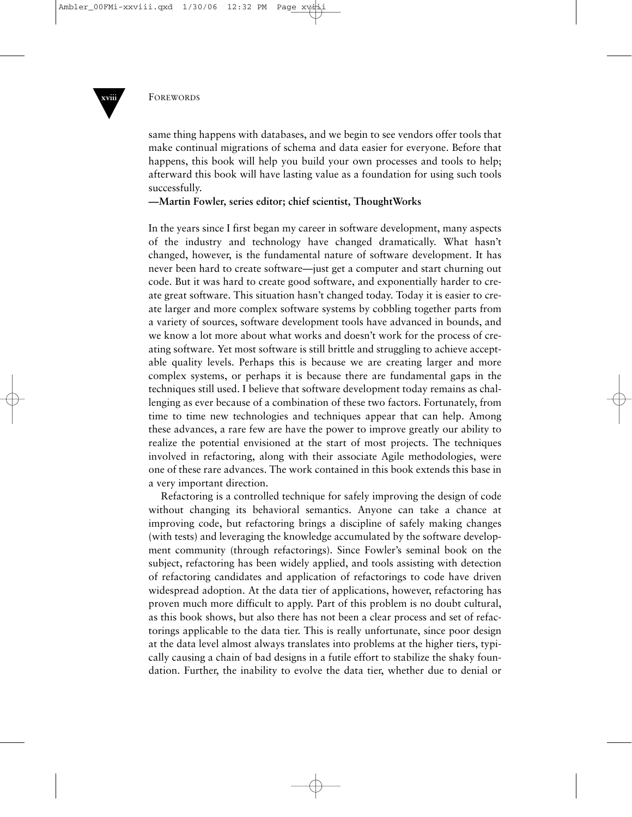

FOREWORDS

same thing happens with databases, and we begin to see vendors offer tools that make continual migrations of schema and data easier for everyone. Before that happens, this book will help you build your own processes and tools to help; afterward this book will have lasting value as a foundation for using such tools successfully.

**—Martin Fowler, series editor; chief scientist, ThoughtWorks**

In the years since I first began my career in software development, many aspects of the industry and technology have changed dramatically. What hasn't changed, however, is the fundamental nature of software development. It has never been hard to create software—just get a computer and start churning out code. But it was hard to create good software, and exponentially harder to create great software. This situation hasn't changed today. Today it is easier to create larger and more complex software systems by cobbling together parts from a variety of sources, software development tools have advanced in bounds, and we know a lot more about what works and doesn't work for the process of creating software. Yet most software is still brittle and struggling to achieve acceptable quality levels. Perhaps this is because we are creating larger and more complex systems, or perhaps it is because there are fundamental gaps in the techniques still used. I believe that software development today remains as challenging as ever because of a combination of these two factors. Fortunately, from time to time new technologies and techniques appear that can help. Among these advances, a rare few are have the power to improve greatly our ability to realize the potential envisioned at the start of most projects. The techniques involved in refactoring, along with their associate Agile methodologies, were one of these rare advances. The work contained in this book extends this base in a very important direction.

Refactoring is a controlled technique for safely improving the design of code without changing its behavioral semantics. Anyone can take a chance at improving code, but refactoring brings a discipline of safely making changes (with tests) and leveraging the knowledge accumulated by the software development community (through refactorings). Since Fowler's seminal book on the subject, refactoring has been widely applied, and tools assisting with detection of refactoring candidates and application of refactorings to code have driven widespread adoption. At the data tier of applications, however, refactoring has proven much more difficult to apply. Part of this problem is no doubt cultural, as this book shows, but also there has not been a clear process and set of refactorings applicable to the data tier. This is really unfortunate, since poor design at the data level almost always translates into problems at the higher tiers, typically causing a chain of bad designs in a futile effort to stabilize the shaky foundation. Further, the inability to evolve the data tier, whether due to denial or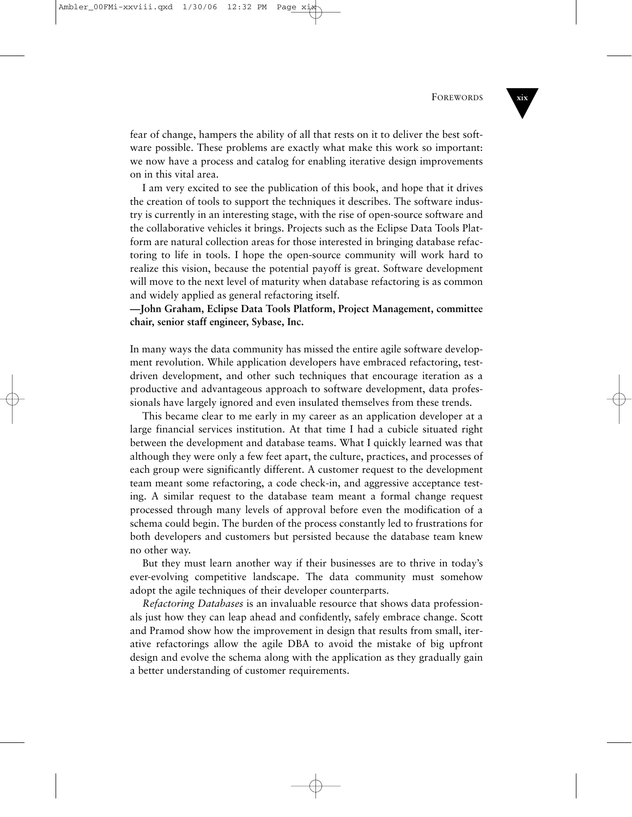## **FOREWORDS**

fear of change, hampers the ability of all that rests on it to deliver the best software possible. These problems are exactly what make this work so important: we now have a process and catalog for enabling iterative design improvements on in this vital area.

I am very excited to see the publication of this book, and hope that it drives the creation of tools to support the techniques it describes. The software industry is currently in an interesting stage, with the rise of open-source software and the collaborative vehicles it brings. Projects such as the Eclipse Data Tools Platform are natural collection areas for those interested in bringing database refactoring to life in tools. I hope the open-source community will work hard to realize this vision, because the potential payoff is great. Software development will move to the next level of maturity when database refactoring is as common and widely applied as general refactoring itself.

**—John Graham, Eclipse Data Tools Platform, Project Management, committee chair, senior staff engineer, Sybase, Inc.**

In many ways the data community has missed the entire agile software development revolution. While application developers have embraced refactoring, testdriven development, and other such techniques that encourage iteration as a productive and advantageous approach to software development, data professionals have largely ignored and even insulated themselves from these trends.

This became clear to me early in my career as an application developer at a large financial services institution. At that time I had a cubicle situated right between the development and database teams. What I quickly learned was that although they were only a few feet apart, the culture, practices, and processes of each group were significantly different. A customer request to the development team meant some refactoring, a code check-in, and aggressive acceptance testing. A similar request to the database team meant a formal change request processed through many levels of approval before even the modification of a schema could begin. The burden of the process constantly led to frustrations for both developers and customers but persisted because the database team knew no other way.

But they must learn another way if their businesses are to thrive in today's ever-evolving competitive landscape. The data community must somehow adopt the agile techniques of their developer counterparts.

*Refactoring Databases* is an invaluable resource that shows data professionals just how they can leap ahead and confidently, safely embrace change. Scott and Pramod show how the improvement in design that results from small, iterative refactorings allow the agile DBA to avoid the mistake of big upfront design and evolve the schema along with the application as they gradually gain a better understanding of customer requirements.